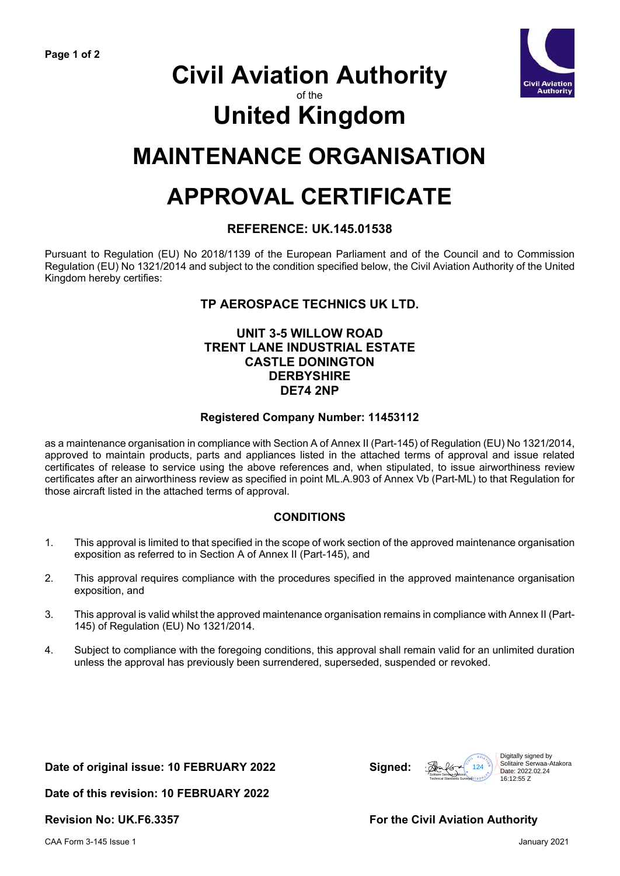

# **Civil Aviation Authority**

## of the

# **United Kingdom**

# **MAINTENANCE ORGANISATION**

# **APPROVAL CERTIFICATE**

## **REFERENCE: UK.145.01538**

Pursuant to Regulation (EU) No 2018/1139 of the European Parliament and of the Council and to Commission Regulation (EU) No 1321/2014 and subject to the condition specified below, the Civil Aviation Authority of the United Kingdom hereby certifies:

# **TP AEROSPACE TECHNICS UK LTD.**

## **UNIT 3-5 WILLOW ROAD TRENT LANE INDUSTRIAL ESTATE CASTLE DONINGTON DERBYSHIRE DE74 2NP**

#### **Registered Company Number: 11453112**

as a maintenance organisation in compliance with Section A of Annex II (Part-145) of Regulation (EU) No 1321/2014, approved to maintain products, parts and appliances listed in the attached terms of approval and issue related certificates of release to service using the above references and, when stipulated, to issue airworthiness review certificates after an airworthiness review as specified in point ML.A.903 of Annex Vb (Part-ML) to that Regulation for those aircraft listed in the attached terms of approval.

## **CONDITIONS**

- 1. This approval is limited to that specified in the scope of work section of the approved maintenance organisation exposition as referred to in Section A of Annex II (Part-145), and
- 2. This approval requires compliance with the procedures specified in the approved maintenance organisation exposition, and
- 3. This approval is valid whilst the approved maintenance organisation remains in compliance with Annex II (Part-145) of Regulation (EU) No 1321/2014.
- 4. Subject to compliance with the foregoing conditions, this approval shall remain valid for an unlimited duration unless the approval has previously been surrendered, superseded, suspended or revoked.

#### **Date of original issue: 10 FEBRUARY 2022 Signed:**

**Date of this revision: 10 FEBRUARY 2022**

**Revision No: UK.F6.3357 For the Civil Aviation Authority**

Solitaire Serwaa-Atakora<br>Solitaire Serwaa-Atakora<br>Technical Standards Surveyar (130 0 130 116)

 $\frac{124}{200}$ <br>  $\frac{124}{200}$ <br>
Solitaire Serwaa-A<br>
Technical Standard Street Corporation<br>  $\frac{16 \cdot 12 \cdot 55}{200}$ <br>  $\frac{16 \cdot 12 \cdot 55}{200}$ 

Solitaire Serwaa-Atakora

16:12:55 Z